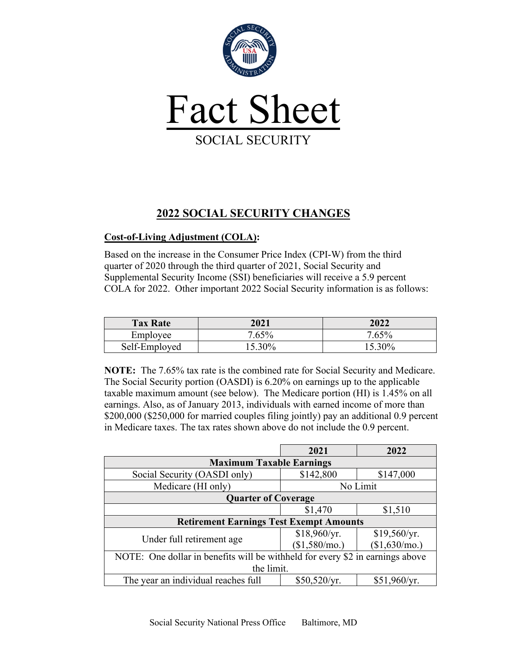

## **2022 SOCIAL SECURITY CHANGES**

## **Cost-of-Living Adjustment (COLA):**

Based on the increase in the Consumer Price Index (CPI-W) from the third quarter of 2020 through the third quarter of 2021, Social Security and Supplemental Security Income (SSI) beneficiaries will receive a 5.9 percent COLA for 2022. Other important 2022 Social Security information is as follows:

| <b>Tax Rate</b> | 2021      | 2022      |
|-----------------|-----------|-----------|
| Employee        | 7.65%     | 7.65%     |
| Self-Employed   | $15.30\%$ | $15.30\%$ |

**NOTE:** The 7.65% tax rate is the combined rate for Social Security and Medicare. The Social Security portion (OASDI) is 6.20% on earnings up to the applicable taxable maximum amount (see below). The Medicare portion (HI) is 1.45% on all earnings. Also, as of January 2013, individuals with earned income of more than \$200,000 (\$250,000 for married couples filing jointly) pay an additional 0.9 percent in Medicare taxes. The tax rates shown above do not include the 0.9 percent.

|                                                                               | 2021          | 2022          |  |  |
|-------------------------------------------------------------------------------|---------------|---------------|--|--|
| <b>Maximum Taxable Earnings</b>                                               |               |               |  |  |
| Social Security (OASDI only)                                                  | \$142,800     | \$147,000     |  |  |
| Medicare (HI only)                                                            | No Limit      |               |  |  |
| <b>Quarter of Coverage</b>                                                    |               |               |  |  |
|                                                                               | \$1,470       | \$1,510       |  |  |
| <b>Retirement Earnings Test Exempt Amounts</b>                                |               |               |  |  |
|                                                                               | \$18,960/yr.  | \$19,560/yr.  |  |  |
| Under full retirement age                                                     | (\$1,580/mo.) | (\$1,630/mo.) |  |  |
| NOTE: One dollar in benefits will be withheld for every \$2 in earnings above |               |               |  |  |
| the limit.                                                                    |               |               |  |  |
| The year an individual reaches full                                           | \$50,520/yr.  | \$51,960/yr.  |  |  |